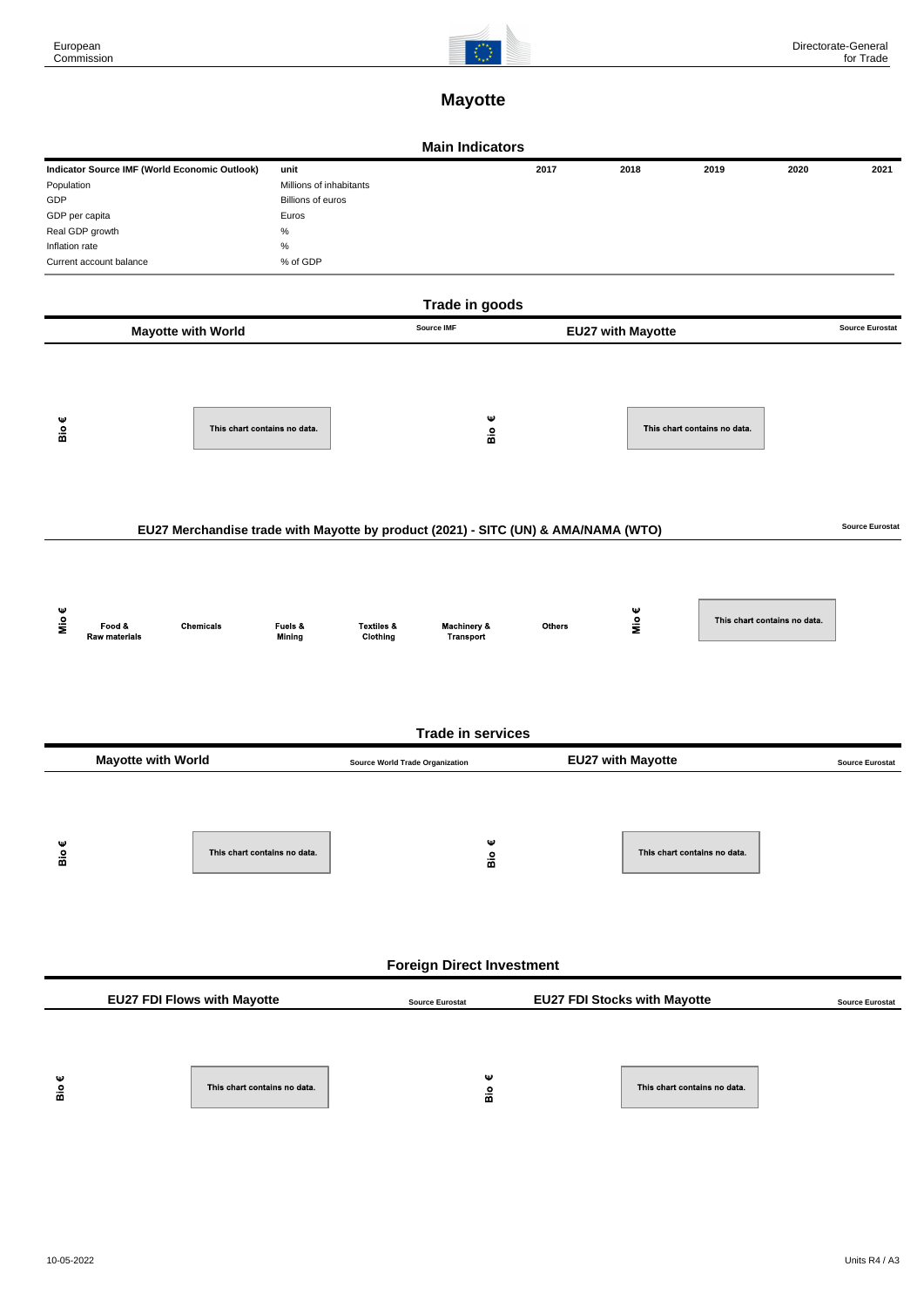

## **Mayotte**

|                                                                                                                                                                                                   |                                                           |                                                        | <b>Main Indicators</b>              |        |                          |                              |                              |                        |  |  |  |  |  |
|---------------------------------------------------------------------------------------------------------------------------------------------------------------------------------------------------|-----------------------------------------------------------|--------------------------------------------------------|-------------------------------------|--------|--------------------------|------------------------------|------------------------------|------------------------|--|--|--|--|--|
| Indicator Source IMF (World Economic Outlook)<br>unit<br>Population<br>GDP<br>GDP per capita<br>Euros<br>$\%$<br>Real GDP growth<br>$\%$<br>Inflation rate<br>% of GDP<br>Current account balance |                                                           | Millions of inhabitants<br>Billions of euros           |                                     | 2017   | 2018                     | 2019                         | 2020                         | 2021                   |  |  |  |  |  |
| Trade in goods<br>Source IMF<br><b>Source Eurostat</b>                                                                                                                                            |                                                           |                                                        |                                     |        |                          |                              |                              |                        |  |  |  |  |  |
| Bio $\epsilon$                                                                                                                                                                                    | <b>Mayotte with World</b><br>This chart contains no data. |                                                        | Ψ<br>Bio                            |        | <b>EU27 with Mayotte</b> | This chart contains no data. |                              |                        |  |  |  |  |  |
| <b>Source Eurostat</b><br>EU27 Merchandise trade with Mayotte by product (2021) - SITC (UN) & AMA/NAMA (WTO)                                                                                      |                                                           |                                                        |                                     |        |                          |                              |                              |                        |  |  |  |  |  |
| Mio $\epsilon$                                                                                                                                                                                    | Food &<br>Chemicals<br>Raw materials                      | Fuels &<br><b>Textiles &amp;</b><br>Mining<br>Clothing | <b>Machinery &amp;</b><br>Transport | Others | Mio $\epsilon$           |                              | This chart contains no data. |                        |  |  |  |  |  |
|                                                                                                                                                                                                   |                                                           |                                                        | <b>Trade in services</b>            |        |                          |                              |                              |                        |  |  |  |  |  |
| <b>EU27 with Mayotte</b><br><b>Mayotte with World</b><br><b>Source World Trade Organization</b>                                                                                                   |                                                           |                                                        |                                     |        |                          |                              |                              | <b>Source Eurostat</b> |  |  |  |  |  |
| Bio€                                                                                                                                                                                              | This chart contains no data.                              |                                                        | Ψ<br>Bio                            |        |                          | This chart contains no data. |                              |                        |  |  |  |  |  |
| <b>Foreign Direct Investment</b>                                                                                                                                                                  |                                                           |                                                        |                                     |        |                          |                              |                              |                        |  |  |  |  |  |
| EU27 FDI Flows with Mayotte<br><b>EU27 FDI Stocks with Mayotte</b><br><b>Source Eurostat</b>                                                                                                      |                                                           |                                                        |                                     |        |                          |                              |                              | <b>Source Eurostat</b> |  |  |  |  |  |
| Bio $\epsilon$                                                                                                                                                                                    | This chart contains no data.                              |                                                        | Ψ<br>Вiо                            |        |                          | This chart contains no data. |                              |                        |  |  |  |  |  |